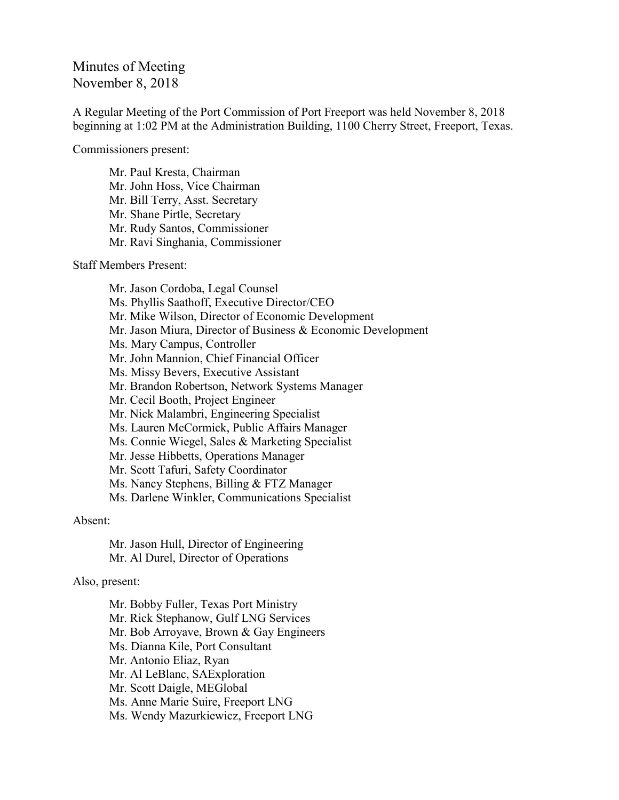## Minutes of Meeting November 8, 2018

A Regular Meeting of the Port Commission of Port Freeport was held November 8, 2018 beginning at 1:02 PM at the Administration Building, 1100 Cherry Street, Freeport, Texas.

Commissioners present:

Mr. Paul Kresta, Chairman Mr. John Hoss, Vice Chairman Mr. Bill Terry, Asst. Secretary Mr. Shane Pirtle, Secretary Mr. Rudy Santos, Commissioner Mr. Ravi Singhania, Commissioner

Staff Members Present:

Mr. Jason Cordoba, Legal Counsel Ms. Phyllis Saathoff, Executive Director/CEO Mr. Mike Wilson, Director of Economic Development Mr. Jason Miura, Director of Business & Economic Development Ms. Mary Campus, Controller Mr. John Mannion, Chief Financial Officer Ms. Missy Bevers, Executive Assistant Mr. Brandon Robertson, Network Systems Manager Mr. Cecil Booth, Project Engineer Mr. Nick Malambri, Engineering Specialist Ms. Lauren McCormick, Public Affairs Manager Ms. Connie Wiegel, Sales & Marketing Specialist Mr. Jesse Hibbetts, Operations Manager Mr. Scott Tafuri, Safety Coordinator Ms. Nancy Stephens, Billing & FTZ Manager Ms. Darlene Winkler, Communications Specialist

## Absent:

Mr. Jason Hull, Director of Engineering Mr. Al Durel, Director of Operations

Also, present:

Mr. Bobby Fuller, Texas Port Ministry Mr. Rick Stephanow, Gulf LNG Services Mr. Bob Arroyave, Brown & Gay Engineers Ms. Dianna Kile, Port Consultant Mr. Antonio Eliaz, Ryan Mr. Al LeBlanc, SAExploration Mr. Scott Daigle, MEGlobal Ms. Anne Marie Suire, Freeport LNG Ms. Wendy Mazurkiewicz, Freeport LNG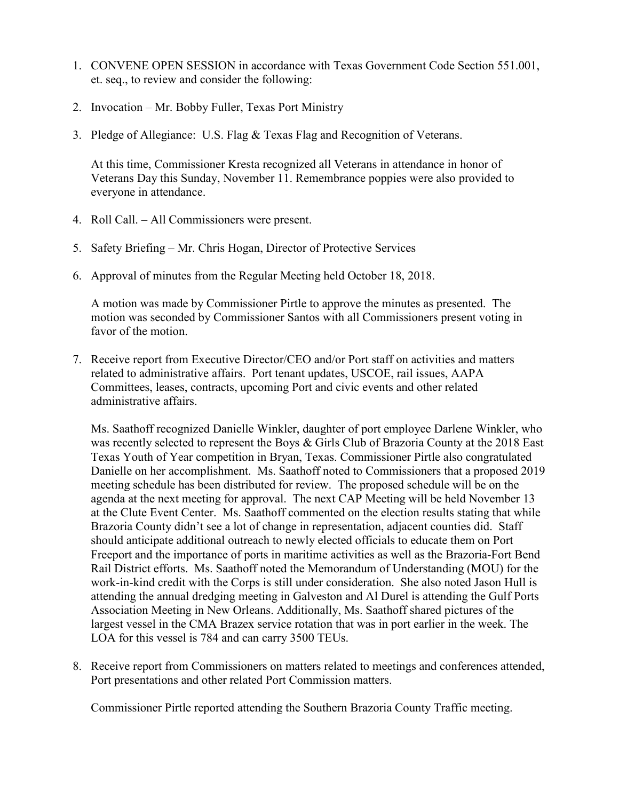- 1. CONVENE OPEN SESSION in accordance with Texas Government Code Section 551.001, et. seq., to review and consider the following:
- 2. Invocation Mr. Bobby Fuller, Texas Port Ministry
- 3. Pledge of Allegiance: U.S. Flag & Texas Flag and Recognition of Veterans.

At this time, Commissioner Kresta recognized all Veterans in attendance in honor of Veterans Day this Sunday, November 11. Remembrance poppies were also provided to everyone in attendance.

- 4. Roll Call. All Commissioners were present.
- 5. Safety Briefing Mr. Chris Hogan, Director of Protective Services
- 6. Approval of minutes from the Regular Meeting held October 18, 2018.

A motion was made by Commissioner Pirtle to approve the minutes as presented. The motion was seconded by Commissioner Santos with all Commissioners present voting in favor of the motion.

7. Receive report from Executive Director/CEO and/or Port staff on activities and matters related to administrative affairs. Port tenant updates, USCOE, rail issues, AAPA Committees, leases, contracts, upcoming Port and civic events and other related administrative affairs.

Ms. Saathoff recognized Danielle Winkler, daughter of port employee Darlene Winkler, who was recently selected to represent the Boys & Girls Club of Brazoria County at the 2018 East Texas Youth of Year competition in Bryan, Texas. Commissioner Pirtle also congratulated Danielle on her accomplishment. Ms. Saathoff noted to Commissioners that a proposed 2019 meeting schedule has been distributed for review. The proposed schedule will be on the agenda at the next meeting for approval. The next CAP Meeting will be held November 13 at the Clute Event Center. Ms. Saathoff commented on the election results stating that while Brazoria County didn't see a lot of change in representation, adjacent counties did. Staff should anticipate additional outreach to newly elected officials to educate them on Port Freeport and the importance of ports in maritime activities as well as the Brazoria-Fort Bend Rail District efforts. Ms. Saathoff noted the Memorandum of Understanding (MOU) for the work-in-kind credit with the Corps is still under consideration. She also noted Jason Hull is attending the annual dredging meeting in Galveston and Al Durel is attending the Gulf Ports Association Meeting in New Orleans. Additionally, Ms. Saathoff shared pictures of the largest vessel in the CMA Brazex service rotation that was in port earlier in the week. The LOA for this vessel is 784 and can carry 3500 TEUs.

8. Receive report from Commissioners on matters related to meetings and conferences attended, Port presentations and other related Port Commission matters.

Commissioner Pirtle reported attending the Southern Brazoria County Traffic meeting.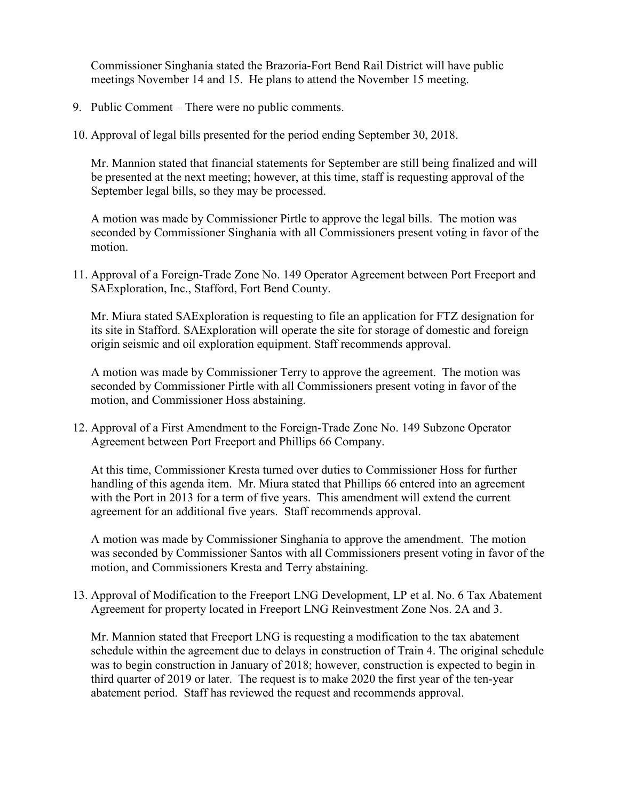Commissioner Singhania stated the Brazoria-Fort Bend Rail District will have public meetings November 14 and 15. He plans to attend the November 15 meeting.

- 9. Public Comment There were no public comments.
- 10. Approval of legal bills presented for the period ending September 30, 2018.

Mr. Mannion stated that financial statements for September are still being finalized and will be presented at the next meeting; however, at this time, staff is requesting approval of the September legal bills, so they may be processed.

A motion was made by Commissioner Pirtle to approve the legal bills. The motion was seconded by Commissioner Singhania with all Commissioners present voting in favor of the motion.

11. Approval of a Foreign-Trade Zone No. 149 Operator Agreement between Port Freeport and SAExploration, Inc., Stafford, Fort Bend County.

Mr. Miura stated SAExploration is requesting to file an application for FTZ designation for its site in Stafford. SAExploration will operate the site for storage of domestic and foreign origin seismic and oil exploration equipment. Staff recommends approval.

A motion was made by Commissioner Terry to approve the agreement. The motion was seconded by Commissioner Pirtle with all Commissioners present voting in favor of the motion, and Commissioner Hoss abstaining.

12. Approval of a First Amendment to the Foreign-Trade Zone No. 149 Subzone Operator Agreement between Port Freeport and Phillips 66 Company.

At this time, Commissioner Kresta turned over duties to Commissioner Hoss for further handling of this agenda item. Mr. Miura stated that Phillips 66 entered into an agreement with the Port in 2013 for a term of five years. This amendment will extend the current agreement for an additional five years. Staff recommends approval.

A motion was made by Commissioner Singhania to approve the amendment. The motion was seconded by Commissioner Santos with all Commissioners present voting in favor of the motion, and Commissioners Kresta and Terry abstaining.

13. Approval of Modification to the Freeport LNG Development, LP et al. No. 6 Tax Abatement Agreement for property located in Freeport LNG Reinvestment Zone Nos. 2A and 3.

Mr. Mannion stated that Freeport LNG is requesting a modification to the tax abatement schedule within the agreement due to delays in construction of Train 4. The original schedule was to begin construction in January of 2018; however, construction is expected to begin in third quarter of 2019 or later. The request is to make 2020 the first year of the ten-year abatement period. Staff has reviewed the request and recommends approval.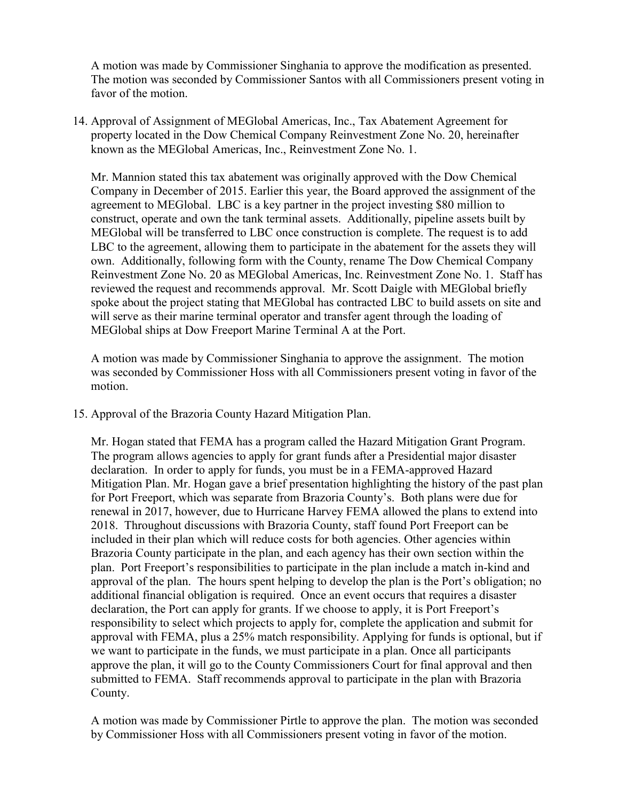A motion was made by Commissioner Singhania to approve the modification as presented. The motion was seconded by Commissioner Santos with all Commissioners present voting in favor of the motion.

14. Approval of Assignment of MEGlobal Americas, Inc., Tax Abatement Agreement for property located in the Dow Chemical Company Reinvestment Zone No. 20, hereinafter known as the MEGlobal Americas, Inc., Reinvestment Zone No. 1.

Mr. Mannion stated this tax abatement was originally approved with the Dow Chemical Company in December of 2015. Earlier this year, the Board approved the assignment of the agreement to MEGlobal. LBC is a key partner in the project investing \$80 million to construct, operate and own the tank terminal assets. Additionally, pipeline assets built by MEGlobal will be transferred to LBC once construction is complete. The request is to add LBC to the agreement, allowing them to participate in the abatement for the assets they will own. Additionally, following form with the County, rename The Dow Chemical Company Reinvestment Zone No. 20 as MEGlobal Americas, Inc. Reinvestment Zone No. 1. Staff has reviewed the request and recommends approval. Mr. Scott Daigle with MEGlobal briefly spoke about the project stating that MEGlobal has contracted LBC to build assets on site and will serve as their marine terminal operator and transfer agent through the loading of MEGlobal ships at Dow Freeport Marine Terminal A at the Port.

A motion was made by Commissioner Singhania to approve the assignment. The motion was seconded by Commissioner Hoss with all Commissioners present voting in favor of the motion.

15. Approval of the Brazoria County Hazard Mitigation Plan.

Mr. Hogan stated that FEMA has a program called the Hazard Mitigation Grant Program. The program allows agencies to apply for grant funds after a Presidential major disaster declaration. In order to apply for funds, you must be in a FEMA-approved Hazard Mitigation Plan. Mr. Hogan gave a brief presentation highlighting the history of the past plan for Port Freeport, which was separate from Brazoria County's. Both plans were due for renewal in 2017, however, due to Hurricane Harvey FEMA allowed the plans to extend into 2018. Throughout discussions with Brazoria County, staff found Port Freeport can be included in their plan which will reduce costs for both agencies. Other agencies within Brazoria County participate in the plan, and each agency has their own section within the plan. Port Freeport's responsibilities to participate in the plan include a match in-kind and approval of the plan. The hours spent helping to develop the plan is the Port's obligation; no additional financial obligation is required. Once an event occurs that requires a disaster declaration, the Port can apply for grants. If we choose to apply, it is Port Freeport's responsibility to select which projects to apply for, complete the application and submit for approval with FEMA, plus a 25% match responsibility. Applying for funds is optional, but if we want to participate in the funds, we must participate in a plan. Once all participants approve the plan, it will go to the County Commissioners Court for final approval and then submitted to FEMA. Staff recommends approval to participate in the plan with Brazoria County.

A motion was made by Commissioner Pirtle to approve the plan. The motion was seconded by Commissioner Hoss with all Commissioners present voting in favor of the motion.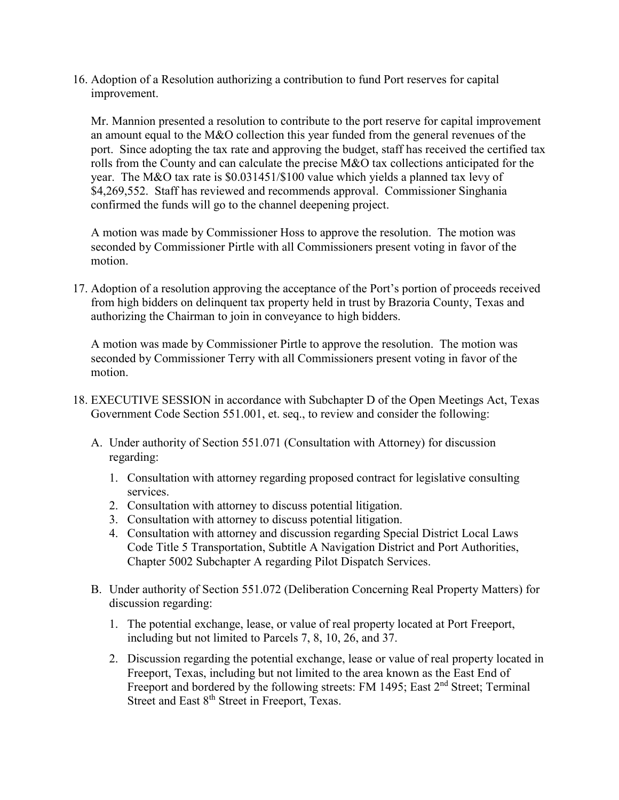16. Adoption of a Resolution authorizing a contribution to fund Port reserves for capital improvement.

Mr. Mannion presented a resolution to contribute to the port reserve for capital improvement an amount equal to the M&O collection this year funded from the general revenues of the port. Since adopting the tax rate and approving the budget, staff has received the certified tax rolls from the County and can calculate the precise M&O tax collections anticipated for the year. The M&O tax rate is \$0.031451/\$100 value which yields a planned tax levy of \$4,269,552. Staff has reviewed and recommends approval. Commissioner Singhania confirmed the funds will go to the channel deepening project.

A motion was made by Commissioner Hoss to approve the resolution. The motion was seconded by Commissioner Pirtle with all Commissioners present voting in favor of the motion.

17. Adoption of a resolution approving the acceptance of the Port's portion of proceeds received from high bidders on delinquent tax property held in trust by Brazoria County, Texas and authorizing the Chairman to join in conveyance to high bidders.

A motion was made by Commissioner Pirtle to approve the resolution. The motion was seconded by Commissioner Terry with all Commissioners present voting in favor of the motion.

- 18. EXECUTIVE SESSION in accordance with Subchapter D of the Open Meetings Act, Texas Government Code Section 551.001, et. seq., to review and consider the following:
	- A. Under authority of Section 551.071 (Consultation with Attorney) for discussion regarding:
		- 1. Consultation with attorney regarding proposed contract for legislative consulting services.
		- 2. Consultation with attorney to discuss potential litigation.
		- 3. Consultation with attorney to discuss potential litigation.
		- 4. Consultation with attorney and discussion regarding Special District Local Laws Code Title 5 Transportation, Subtitle A Navigation District and Port Authorities, Chapter 5002 Subchapter A regarding Pilot Dispatch Services.
	- B. Under authority of Section 551.072 (Deliberation Concerning Real Property Matters) for discussion regarding:
		- 1. The potential exchange, lease, or value of real property located at Port Freeport, including but not limited to Parcels 7, 8, 10, 26, and 37.
		- 2. Discussion regarding the potential exchange, lease or value of real property located in Freeport, Texas, including but not limited to the area known as the East End of Freeport and bordered by the following streets: FM 1495; East 2<sup>nd</sup> Street; Terminal Street and East 8<sup>th</sup> Street in Freeport, Texas.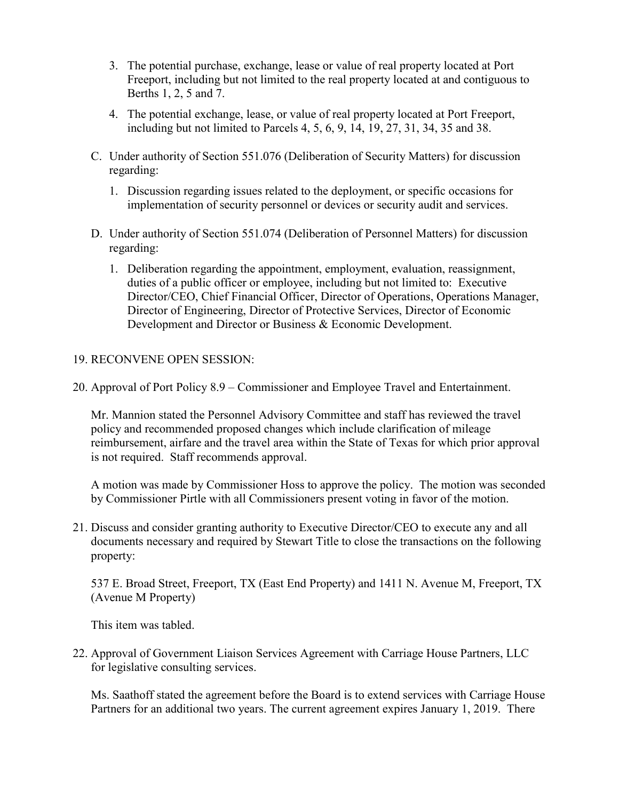- 3. The potential purchase, exchange, lease or value of real property located at Port Freeport, including but not limited to the real property located at and contiguous to Berths 1, 2, 5 and 7.
- 4. The potential exchange, lease, or value of real property located at Port Freeport, including but not limited to Parcels 4, 5, 6, 9, 14, 19, 27, 31, 34, 35 and 38.
- C. Under authority of Section 551.076 (Deliberation of Security Matters) for discussion regarding:
	- 1. Discussion regarding issues related to the deployment, or specific occasions for implementation of security personnel or devices or security audit and services.
- D. Under authority of Section 551.074 (Deliberation of Personnel Matters) for discussion regarding:
	- 1. Deliberation regarding the appointment, employment, evaluation, reassignment, duties of a public officer or employee, including but not limited to: Executive Director/CEO, Chief Financial Officer, Director of Operations, Operations Manager, Director of Engineering, Director of Protective Services, Director of Economic Development and Director or Business & Economic Development.

## 19. RECONVENE OPEN SESSION:

20. Approval of Port Policy 8.9 – Commissioner and Employee Travel and Entertainment.

Mr. Mannion stated the Personnel Advisory Committee and staff has reviewed the travel policy and recommended proposed changes which include clarification of mileage reimbursement, airfare and the travel area within the State of Texas for which prior approval is not required. Staff recommends approval.

A motion was made by Commissioner Hoss to approve the policy. The motion was seconded by Commissioner Pirtle with all Commissioners present voting in favor of the motion.

21. Discuss and consider granting authority to Executive Director/CEO to execute any and all documents necessary and required by Stewart Title to close the transactions on the following property:

537 E. Broad Street, Freeport, TX (East End Property) and 1411 N. Avenue M, Freeport, TX (Avenue M Property)

This item was tabled.

22. Approval of Government Liaison Services Agreement with Carriage House Partners, LLC for legislative consulting services.

Ms. Saathoff stated the agreement before the Board is to extend services with Carriage House Partners for an additional two years. The current agreement expires January 1, 2019. There